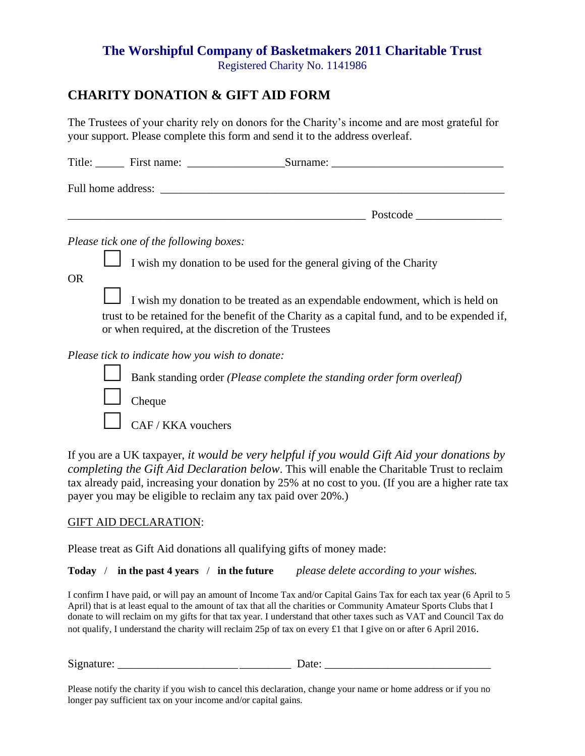## **The Worshipful Company of Basketmakers 2011 Charitable Trust** Registered Charity No. 1141986

## **CHARITY DONATION & GIFT AID FORM**

The Trustees of your charity rely on donors for the Charity's income and are most grateful for your support. Please complete this form and send it to the address overleaf.

|           | Title: First name: Surname: Surname: Surname:                                                                                                                                                                                         |
|-----------|---------------------------------------------------------------------------------------------------------------------------------------------------------------------------------------------------------------------------------------|
|           |                                                                                                                                                                                                                                       |
|           |                                                                                                                                                                                                                                       |
|           | Please tick one of the following boxes:                                                                                                                                                                                               |
| <b>OR</b> | I wish my donation to be used for the general giving of the Charity                                                                                                                                                                   |
|           | I wish my donation to be treated as an expendable endowment, which is held on<br>trust to be retained for the benefit of the Charity as a capital fund, and to be expended if,<br>or when required, at the discretion of the Trustees |
|           | Please tick to indicate how you wish to donate:                                                                                                                                                                                       |
|           | Bank standing order ( <i>Please complete the standing order form overleaf</i> )                                                                                                                                                       |
|           | Cheque                                                                                                                                                                                                                                |
|           | CAF / KKA vouchers                                                                                                                                                                                                                    |

If you are a UK taxpayer, *it would be very helpful if you would Gift Aid your donations by completing the Gift Aid Declaration below*. This will enable the Charitable Trust to reclaim tax already paid, increasing your donation by 25% at no cost to you. (If you are a higher rate tax payer you may be eligible to reclaim any tax paid over 20%.)

## GIFT AID DECLARATION:

Please treat as Gift Aid donations all qualifying gifts of money made:

**Today** / **in the past 4 years** / **in the future** *please delete according to your wishes.*

I confirm I have paid, or will pay an amount of Income Tax and/or Capital Gains Tax for each tax year (6 April to 5 April) that is at least equal to the amount of tax that all the charities or Community Amateur Sports Clubs that I donate to will reclaim on my gifts for that tax year. I understand that other taxes such as VAT and Council Tax do not qualify, I understand the charity will reclaim 25p of tax on every £1 that I give on or after 6 April 2016.

Signature: \_\_\_\_\_\_\_\_\_\_\_\_\_\_\_\_\_\_\_\_\_ \_\_\_\_\_\_\_\_\_ Date: \_\_\_\_\_\_\_\_\_\_\_\_\_\_\_\_\_\_\_\_\_\_\_\_\_\_\_\_\_

Please notify the charity if you wish to cancel this declaration, change your name or home address or if you no longer pay sufficient tax on your income and/or capital gains.